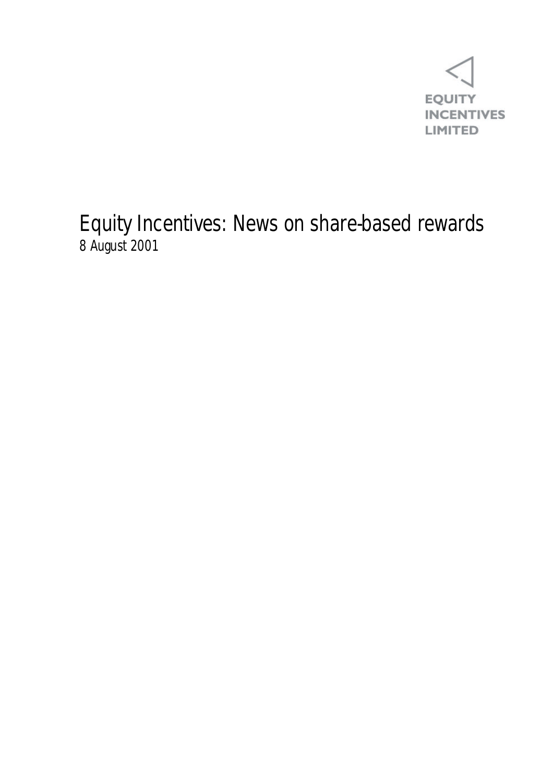

Equity Incentives: News on share-based rewards 8 August 2001